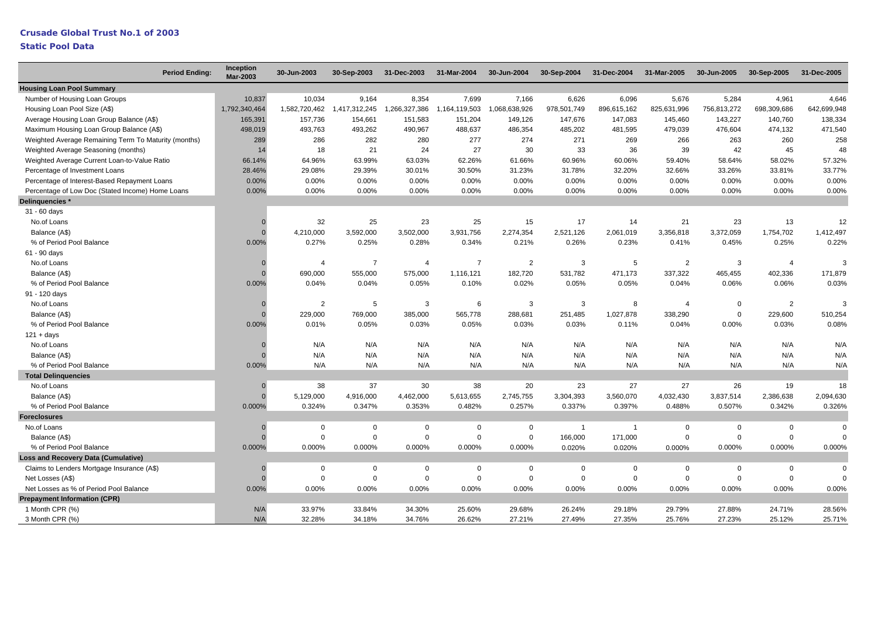# **Crusade Global Trust No.1 of 2003**

|                                                      | <b>Period Ending:</b> | Inception<br><b>Mar-2003</b> | 30-Jun-2003    | 30-Sep-2003    | 31-Dec-2003   | 31-Mar-2004    | 30-Jun-2004    | 30-Sep-2004    | 31-Dec-2004    | 31-Mar-2005    | 30-Jun-2005  | 30-Sep-2005    | 31-Dec-2005 |
|------------------------------------------------------|-----------------------|------------------------------|----------------|----------------|---------------|----------------|----------------|----------------|----------------|----------------|--------------|----------------|-------------|
| <b>Housing Loan Pool Summary</b>                     |                       |                              |                |                |               |                |                |                |                |                |              |                |             |
| Number of Housing Loan Groups                        |                       | 10,837                       | 10,034         | 9,164          | 8,354         | 7,699          | 7,166          | 6,626          | 6,096          | 5,676          | 5,284        | 4,961          | 4,646       |
| Housing Loan Pool Size (A\$)                         |                       | 1,792,340,464                | 1,582,720,462  | 1,417,312,245  | 1,266,327,386 | 1,164,119,503  | 1,068,638,926  | 978,501,749    | 896,615,162    | 825,631,996    | 756,813,272  | 698,309,686    | 642,699,948 |
| Average Housing Loan Group Balance (A\$)             |                       | 165,391                      | 157,736        | 154,661        | 151,583       | 151,204        | 149,126        | 147,676        | 147,083        | 145,460        | 143,227      | 140,760        | 138,334     |
| Maximum Housing Loan Group Balance (A\$)             |                       | 498,019                      | 493,763        | 493,262        | 490,967       | 488,637        | 486,354        | 485,202        | 481,595        | 479,039        | 476,604      | 474,132        | 471,540     |
| Weighted Average Remaining Term To Maturity (months) |                       | 289                          | 286            | 282            | 280           | 277            | 274            | 271            | 269            | 266            | 263          | 260            | 258         |
| Weighted Average Seasoning (months)                  |                       | 14                           | 18             | 21             | 24            | 27             | 30             | 33             | 36             | 39             | 42           | 45             | 48          |
| Weighted Average Current Loan-to-Value Ratio         |                       | 66.14%                       | 64.96%         | 63.99%         | 63.03%        | 62.26%         | 61.66%         | 60.96%         | 60.06%         | 59.40%         | 58.64%       | 58.02%         | 57.32%      |
| Percentage of Investment Loans                       |                       | 28.46%                       | 29.08%         | 29.39%         | 30.01%        | 30.50%         | 31.23%         | 31.78%         | 32.20%         | 32.66%         | 33.26%       | 33.81%         | 33.77%      |
| Percentage of Interest-Based Repayment Loans         |                       | 0.00%                        | 0.00%          | 0.00%          | 0.00%         | 0.00%          | 0.00%          | 0.00%          | 0.00%          | 0.00%          | 0.00%        | 0.00%          | 0.00%       |
| Percentage of Low Doc (Stated Income) Home Loans     |                       | 0.00%                        | 0.00%          | 0.00%          | 0.00%         | 0.00%          | 0.00%          | 0.00%          | 0.00%          | 0.00%          | 0.00%        | 0.00%          | 0.00%       |
| Delinquencies *                                      |                       |                              |                |                |               |                |                |                |                |                |              |                |             |
| 31 - 60 days                                         |                       |                              |                |                |               |                |                |                |                |                |              |                |             |
| No.of Loans                                          |                       |                              | 32             | 25             | 23            | 25             | 15             | 17             | 14             | 21             | 23           | 13             | 12          |
| Balance (A\$)                                        |                       | $\Omega$                     | 4,210,000      | 3,592,000      | 3,502,000     | 3,931,756      | 2,274,354      | 2,521,126      | 2,061,019      | 3,356,818      | 3,372,059    | 1,754,702      | 1,412,497   |
| % of Period Pool Balance                             |                       | 0.00%                        | 0.27%          | 0.25%          | 0.28%         | 0.34%          | 0.21%          | 0.26%          | 0.23%          | 0.41%          | 0.45%        | 0.25%          | 0.22%       |
| 61 - 90 days                                         |                       |                              |                |                |               |                |                |                |                |                |              |                |             |
| No.of Loans                                          |                       |                              | $\overline{4}$ | $\overline{7}$ | 4             | $\overline{7}$ | $\overline{2}$ | 3              | 5              | $\overline{2}$ | 3            | $\overline{4}$ | 3           |
| Balance (A\$)                                        |                       |                              | 690,000        | 555,000        | 575,000       | 1,116,121      | 182,720        | 531,782        | 471,173        | 337,322        | 465,455      | 402,336        | 171,879     |
| % of Period Pool Balance                             |                       | 0.00%                        | 0.04%          | 0.04%          | 0.05%         | 0.10%          | 0.02%          | 0.05%          | 0.05%          | 0.04%          | 0.06%        | 0.06%          | 0.03%       |
| 91 - 120 days                                        |                       |                              |                |                |               |                |                |                |                |                |              |                |             |
| No.of Loans                                          |                       |                              | 2              | 5              | 3             | 6              | 3              | 3              | 8              | $\overline{4}$ | $\Omega$     | $\overline{2}$ | 3           |
| Balance (A\$)                                        |                       |                              | 229,000        | 769,000        | 385,000       | 565,778        | 288,681        | 251,485        | 1,027,878      | 338,290        | 0            | 229,600        | 510,254     |
| % of Period Pool Balance                             |                       | 0.00%                        | 0.01%          | 0.05%          | 0.03%         | 0.05%          | 0.03%          | 0.03%          | 0.11%          | 0.04%          | 0.00%        | 0.03%          | 0.08%       |
| $121 + days$                                         |                       |                              |                |                |               |                |                |                |                |                |              |                |             |
| No.of Loans                                          |                       |                              | N/A            | N/A            | N/A           | N/A            | N/A            | N/A            | N/A            | N/A            | N/A          | N/A            | N/A         |
| Balance (A\$)                                        |                       |                              | N/A            | N/A            | N/A           | N/A            | N/A            | N/A            | N/A            | N/A            | N/A          | N/A            | N/A         |
| % of Period Pool Balance                             |                       | 0.00%                        | N/A            | N/A            | N/A           | N/A            | N/A            | N/A            | N/A            | N/A            | N/A          | N/A            | N/A         |
| <b>Total Delinguencies</b>                           |                       |                              |                |                |               |                |                |                |                |                |              |                |             |
| No.of Loans                                          |                       | $\Omega$                     | 38             | 37             | 30            | 38             | 20             | 23             | 27             | 27             | 26           | 19             | 18          |
| Balance (A\$)                                        |                       | $\Omega$                     | 5,129,000      | 4,916,000      | 4,462,000     | 5,613,655      | 2,745,755      | 3,304,393      | 3,560,070      | 4,032,430      | 3,837,514    | 2,386,638      | 2,094,630   |
| % of Period Pool Balance                             |                       | 0.000%                       | 0.324%         | 0.347%         | 0.353%        | 0.482%         | 0.257%         | 0.337%         | 0.397%         | 0.488%         | 0.507%       | 0.342%         | 0.326%      |
| <b>Foreclosures</b>                                  |                       |                              |                |                |               |                |                |                |                |                |              |                |             |
| No.of Loans                                          |                       |                              | $\mathbf 0$    | $\mathsf 0$    | 0             | $\mathbf 0$    | $\mathbf 0$    | $\overline{1}$ | $\overline{1}$ | $\mathbf 0$    | $\mathbf 0$  | $\mathbf 0$    | $\mathbf 0$ |
| Balance (A\$)                                        |                       |                              | $\Omega$       | $\mathsf 0$    | $\Omega$      | $\mathbf 0$    | $\mathbf 0$    | 166,000        | 171,000        | $\Omega$       | $\mathbf 0$  | $\mathbf 0$    | $\Omega$    |
| % of Period Pool Balance                             |                       | 0.000%                       | 0.000%         | 0.000%         | 0.000%        | 0.000%         | 0.000%         | 0.020%         | 0.020%         | 0.000%         | 0.000%       | 0.000%         | 0.000%      |
| <b>Loss and Recovery Data (Cumulative)</b>           |                       |                              |                |                |               |                |                |                |                |                |              |                |             |
| Claims to Lenders Mortgage Insurance (A\$)           |                       |                              | $\mathbf 0$    | $\mathbf 0$    | $\mathbf 0$   | $\mathbf 0$    | $\mathbf 0$    | $\mathbf 0$    | $\Omega$       | $\Omega$       | $\mathbf 0$  | $\mathbf{0}$   | $\mathbf 0$ |
| Net Losses (A\$)                                     |                       | $\Omega$                     | $\mathsf 0$    | $\mathbf 0$    | $\mathbf 0$   | $\mathbf 0$    | $\mathbf 0$    | $\mathbf 0$    | $\Omega$       | $\mathbf 0$    | $\mathbf{0}$ | $\Omega$       |             |
| Net Losses as % of Period Pool Balance               |                       | 0.00%                        | 0.00%          | 0.00%          | 0.00%         | 0.00%          | 0.00%          | 0.00%          | 0.00%          | 0.00%          | 0.00%        | 0.00%          | 0.00%       |
| <b>Prepayment Information (CPR)</b>                  |                       |                              |                |                |               |                |                |                |                |                |              |                |             |
| 1 Month CPR (%)                                      |                       | N/A                          | 33.97%         | 33.84%         | 34.30%        | 25.60%         | 29.68%         | 26.24%         | 29.18%         | 29.79%         | 27.88%       | 24.71%         | 28.56%      |
| 3 Month CPR (%)                                      |                       | N/A                          | 32.28%         | 34.18%         | 34.76%        | 26.62%         | 27.21%         | 27.49%         | 27.35%         | 25.76%         | 27.23%       | 25.12%         | 25.71%      |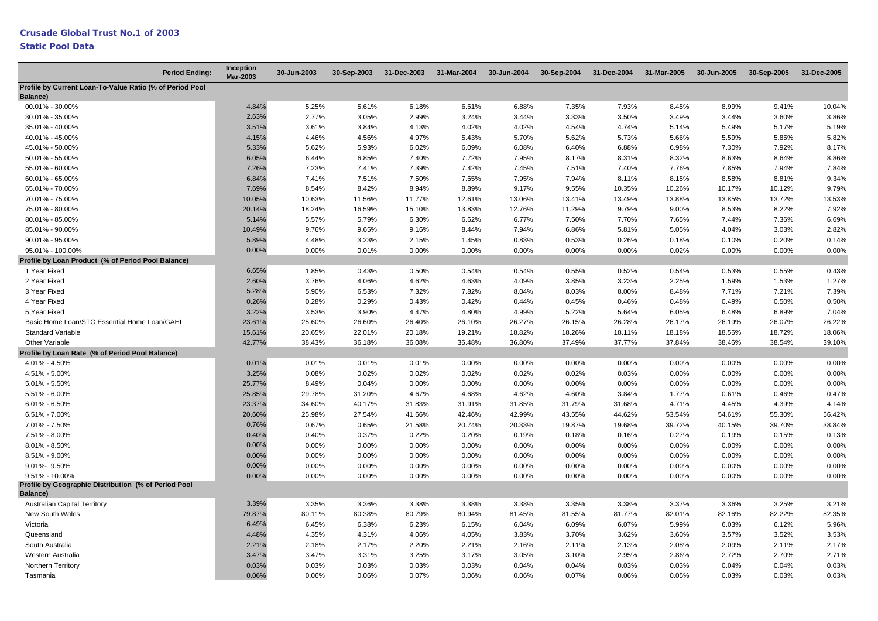| <b>Period Ending:</b>                                                    | <b>Inception</b><br><b>Mar-2003</b> | 30-Jun-2003 | 30-Sep-2003 | 31-Dec-2003 | 31-Mar-2004 | 30-Jun-2004 | 30-Sep-2004 | 31-Dec-2004 | 31-Mar-2005 | 30-Jun-2005 | 30-Sep-2005 | 31-Dec-2005 |
|--------------------------------------------------------------------------|-------------------------------------|-------------|-------------|-------------|-------------|-------------|-------------|-------------|-------------|-------------|-------------|-------------|
| Profile by Current Loan-To-Value Ratio (% of Period Pool<br>Balance)     |                                     |             |             |             |             |             |             |             |             |             |             |             |
| 00.01% - 30.00%                                                          | 4.84%                               | 5.25%       | 5.61%       | 6.18%       | 6.61%       | 6.88%       | 7.35%       | 7.93%       | 8.45%       | 8.99%       | 9.41%       | 10.04%      |
| 30.01% - 35.00%                                                          | 2.63%                               | 2.77%       | 3.05%       | 2.99%       | 3.24%       | 3.44%       | 3.33%       | 3.50%       | 3.49%       | 3.44%       | 3.60%       | 3.86%       |
| 35.01% - 40.00%                                                          | 3.51%                               | 3.61%       | 3.84%       | 4.13%       | 4.02%       | 4.02%       | 4.54%       | 4.74%       | 5.14%       | 5.49%       | 5.17%       | 5.19%       |
| 40.01% - 45.00%                                                          | 4.15%                               | 4.46%       | 4.56%       | 4.97%       | 5.43%       | 5.70%       | 5.62%       | 5.73%       | 5.66%       | 5.59%       | 5.85%       | 5.82%       |
| 45.01% - 50.00%                                                          | 5.33%                               | 5.62%       | 5.93%       | 6.02%       | 6.09%       | 6.08%       | 6.40%       | 6.88%       | 6.98%       | 7.30%       | 7.92%       | 8.17%       |
| 50.01% - 55.00%                                                          | 6.05%                               | 6.44%       | 6.85%       | 7.40%       | 7.72%       | 7.95%       | 8.17%       | 8.31%       | 8.32%       | 8.63%       | 8.64%       | 8.86%       |
| 55.01% - 60.00%                                                          | 7.26%                               | 7.23%       | 7.41%       | 7.39%       | 7.42%       | 7.45%       | 7.51%       | 7.40%       | 7.76%       | 7.85%       | 7.94%       | 7.84%       |
| 60.01% - 65.00%                                                          | 6.84%                               | 7.41%       | 7.51%       | 7.50%       | 7.65%       | 7.95%       | 7.94%       | 8.11%       | 8.15%       | 8.58%       | 8.81%       | 9.34%       |
| 65.01% - 70.00%                                                          | 7.69%                               | 8.54%       | 8.42%       | 8.94%       | 8.89%       | 9.17%       | 9.55%       | 10.35%      | 10.26%      | 10.17%      | 10.12%      | 9.79%       |
| 70.01% - 75.00%                                                          | 10.05%                              | 10.63%      | 11.56%      | 11.77%      | 12.61%      | 13.06%      | 13.41%      | 13.49%      | 13.88%      | 13.85%      | 13.72%      | 13.53%      |
| 75.01% - 80.00%                                                          | 20.14%                              | 18.24%      | 16.59%      | 15.10%      | 13.83%      | 12.76%      | 11.29%      | 9.79%       | 9.00%       | 8.53%       | 8.22%       | 7.92%       |
| 80.01% - 85.00%                                                          | 5.14%                               | 5.57%       | 5.79%       | 6.30%       | 6.62%       | 6.77%       | 7.50%       | 7.70%       | 7.65%       | 7.44%       | 7.36%       | 6.69%       |
| 85.01% - 90.00%                                                          | 10.49%                              | 9.76%       | 9.65%       | 9.16%       | 8.44%       | 7.94%       | 6.86%       | 5.81%       | 5.05%       | 4.04%       | 3.03%       | 2.82%       |
| 90.01% - 95.00%                                                          | 5.89%                               | 4.48%       | 3.23%       | 2.15%       | 1.45%       | 0.83%       | 0.53%       | 0.26%       | 0.18%       | 0.10%       | 0.20%       | 0.14%       |
| 95.01% - 100.00%                                                         | 0.00%                               | $0.00\%$    | 0.01%       | 0.00%       | 0.00%       | 0.00%       | 0.00%       | 0.00%       | 0.02%       | 0.00%       | 0.00%       | 0.00%       |
| Profile by Loan Product (% of Period Pool Balance)                       |                                     |             |             |             |             |             |             |             |             |             |             |             |
| 1 Year Fixed                                                             | 6.65%                               | 1.85%       | 0.43%       | 0.50%       | 0.54%       | 0.54%       | 0.55%       | 0.52%       | 0.54%       | 0.53%       | 0.55%       | 0.43%       |
| 2 Year Fixed                                                             | 2.60%                               | 3.76%       | 4.06%       | 4.62%       | 4.63%       | 4.09%       | 3.85%       | 3.23%       | 2.25%       | 1.59%       | 1.53%       | 1.27%       |
| 3 Year Fixed                                                             | 5.28%                               | 5.90%       | 6.53%       | 7.32%       | 7.82%       | 8.04%       | 8.03%       | 8.00%       | 8.48%       | 7.71%       | 7.21%       | 7.39%       |
| 4 Year Fixed                                                             | 0.26%                               | 0.28%       | 0.29%       | 0.43%       | 0.42%       | 0.44%       | 0.45%       | 0.46%       | 0.48%       | 0.49%       | 0.50%       | 0.50%       |
| 5 Year Fixed                                                             | 3.22%                               | 3.53%       | 3.90%       | 4.47%       | 4.80%       | 4.99%       | 5.22%       | 5.64%       | 6.05%       | 6.48%       | 6.89%       | 7.04%       |
| Basic Home Loan/STG Essential Home Loan/GAHL                             | 23.61%                              | 25.60%      | 26.60%      | 26.40%      | 26.10%      | 26.27%      | 26.15%      | 26.28%      | 26.17%      | 26.19%      | 26.07%      | 26.22%      |
| <b>Standard Variable</b>                                                 | 15.61%                              | 20.65%      | 22.01%      | 20.18%      | 19.21%      | 18.82%      | 18.26%      | 18.11%      | 18.18%      | 18.56%      | 18.72%      | 18.06%      |
| Other Variable                                                           | 42.77%                              | 38.43%      | 36.18%      | 36.08%      | 36.48%      | 36.80%      | 37.49%      | 37.77%      | 37.84%      | 38.46%      | 38.54%      | 39.10%      |
| Profile by Loan Rate (% of Period Pool Balance)                          |                                     |             |             |             |             |             |             |             |             |             |             |             |
| 4.01% - 4.50%                                                            | 0.01%                               | 0.01%       | 0.01%       | 0.01%       | 0.00%       | 0.00%       | 0.00%       | 0.00%       | 0.00%       | 0.00%       | 0.00%       | 0.00%       |
| 4.51% - 5.00%                                                            | 3.25%                               | 0.08%       | 0.02%       | 0.02%       | 0.02%       | 0.02%       | 0.02%       | 0.03%       | 0.00%       | 0.00%       | 0.00%       | 0.00%       |
| $5.01\% - 5.50\%$                                                        | 25.77%                              | 8.49%       | 0.04%       | 0.00%       | 0.00%       | 0.00%       | 0.00%       | 0.00%       | 0.00%       | 0.00%       | 0.00%       | 0.00%       |
| $5.51\% - 6.00\%$                                                        | 25.85%                              | 29.78%      | 31.20%      | 4.67%       | 4.68%       | 4.62%       | 4.60%       | 3.84%       | 1.77%       | 0.61%       | 0.46%       | 0.47%       |
| $6.01\% - 6.50\%$                                                        | 23.37%                              | 34.60%      | 40.17%      | 31.83%      | 31.91%      | 31.85%      | 31.79%      | 31.68%      | 4.71%       | 4.45%       | 4.39%       | 4.14%       |
| $6.51\% - 7.00\%$                                                        | 20.60%                              | 25.98%      | 27.54%      | 41.66%      | 42.46%      | 42.99%      | 43.55%      | 44.62%      | 53.54%      | 54.61%      | 55.30%      | 56.42%      |
| 7.01% - 7.50%                                                            | 0.76%                               | 0.67%       | 0.65%       | 21.58%      | 20.74%      | 20.33%      | 19.87%      | 19.68%      | 39.72%      | 40.15%      | 39.70%      | 38.84%      |
| 7.51% - 8.00%                                                            | 0.40%                               | 0.40%       | 0.37%       | 0.22%       | 0.20%       | 0.19%       | 0.18%       | 0.16%       | 0.27%       | 0.19%       | 0.15%       | 0.13%       |
| $8.01\% - 8.50\%$                                                        | 0.00%                               | $0.00\%$    | 0.00%       | 0.00%       | 0.00%       | 0.00%       | 0.00%       | $0.00\%$    | 0.00%       | 0.00%       | 0.00%       | 0.00%       |
| 8.51% - 9.00%                                                            | 0.00%                               | 0.00%       | 0.00%       | 0.00%       | 0.00%       | 0.00%       | 0.00%       | 0.00%       | 0.00%       | 0.00%       | 0.00%       | 0.00%       |
| 9.01%-9.50%                                                              | 0.00%                               | 0.00%       | 0.00%       | 0.00%       | 0.00%       | 0.00%       | 0.00%       | 0.00%       | 0.00%       | 0.00%       | 0.00%       | 0.00%       |
| $9.51\% - 10.00\%$                                                       | 0.00%                               | 0.00%       | 0.00%       | 0.00%       | 0.00%       | 0.00%       | 0.00%       | 0.00%       | 0.00%       | 0.00%       | 0.00%       | 0.00%       |
| Profile by Geographic Distribution (% of Period Pool<br><b>Balance</b> ) |                                     |             |             |             |             |             |             |             |             |             |             |             |
| <b>Australian Capital Territory</b>                                      | 3.39%                               | 3.35%       | 3.36%       | 3.38%       | 3.38%       | 3.38%       | 3.35%       | 3.38%       | 3.37%       | 3.36%       | 3.25%       | 3.21%       |
| New South Wales                                                          | 79.87%                              | 80.11%      | 80.38%      | 80.79%      | 80.94%      | 81.45%      | 81.55%      | 81.77%      | 82.01%      | 82.16%      | 82.22%      | 82.35%      |
| Victoria                                                                 | 6.49%                               | 6.45%       | 6.38%       | 6.23%       | 6.15%       | 6.04%       | 6.09%       | 6.07%       | 5.99%       | 6.03%       | 6.12%       | 5.96%       |
| Queensland                                                               | 4.48%                               | 4.35%       | 4.31%       | 4.06%       | 4.05%       | 3.83%       | 3.70%       | 3.62%       | 3.60%       | 3.57%       | 3.52%       | 3.53%       |
| South Australia                                                          | 2.21%                               | 2.18%       | 2.17%       | 2.20%       | 2.21%       | 2.16%       | 2.11%       | 2.13%       | 2.08%       | 2.09%       | 2.11%       | 2.17%       |
| Western Australia                                                        | 3.47%                               | 3.47%       | 3.31%       | 3.25%       | 3.17%       | 3.05%       | 3.10%       | 2.95%       | 2.86%       | 2.72%       | 2.70%       | 2.71%       |
| Northern Territory                                                       | 0.03%                               | 0.03%       | 0.03%       | 0.03%       | 0.03%       | 0.04%       | 0.04%       | 0.03%       | 0.03%       | 0.04%       | 0.04%       | 0.03%       |
| Tasmania                                                                 | 0.06%                               | 0.06%       | 0.06%       | 0.07%       | 0.06%       | 0.06%       | 0.07%       | 0.06%       | 0.05%       | 0.03%       | 0.03%       | 0.03%       |
|                                                                          |                                     |             |             |             |             |             |             |             |             |             |             |             |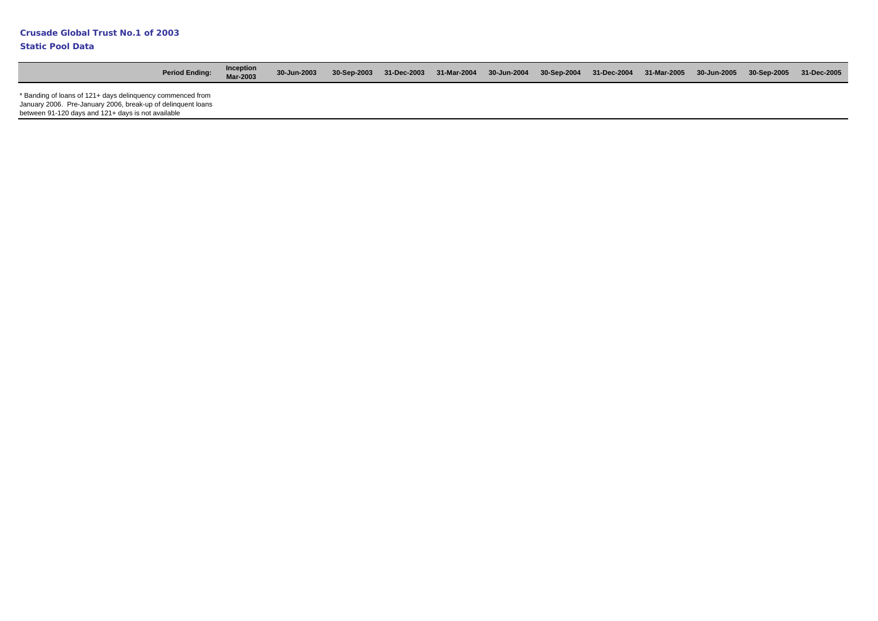| <b>Period Ending:</b>                                                                                                                                                            | <b>Inception</b><br><b>Mar-2003</b> | 30-Jun-2003 | 30-Sep-2003 |  |  | 31-Dec-2003 31-Mar-2004 30-Jun-2004 30-Sep-2004 31-Dec-2004 31-Mar-2005 | 30-Jun-2005 30-Sep-2005 31-Dec-2005 |  |
|----------------------------------------------------------------------------------------------------------------------------------------------------------------------------------|-------------------------------------|-------------|-------------|--|--|-------------------------------------------------------------------------|-------------------------------------|--|
| * Banding of loans of 121+ days delinguency commenced from<br>January 2006. Pre-January 2006, break-up of delinguent loans<br>between 91-120 days and 121+ days is not available |                                     |             |             |  |  |                                                                         |                                     |  |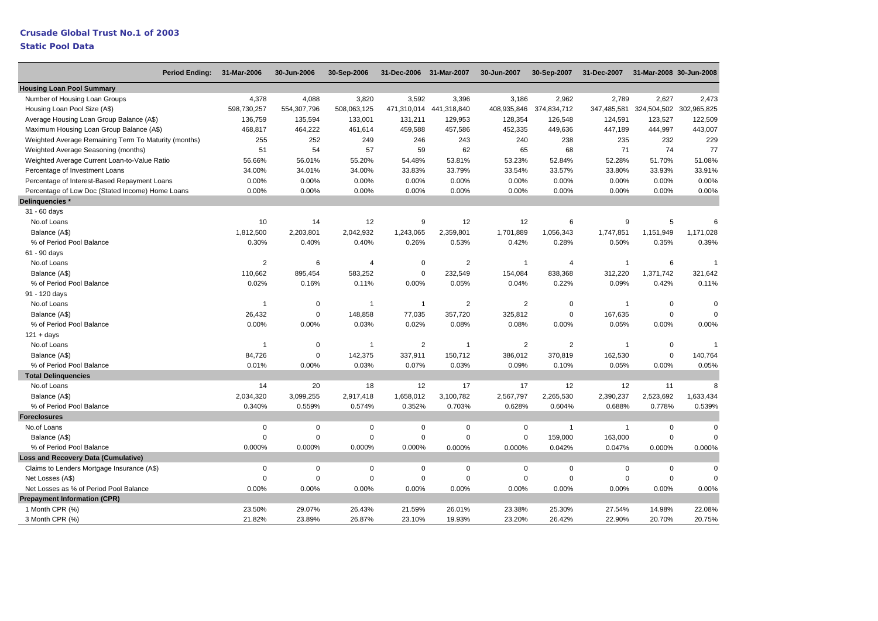# **Crusade Global Trust No.1 of 2003**

| <b>Period Ending:</b>                                | 31-Mar-2006    | 30-Jun-2006 | 30-Sep-2006    | 31-Dec-2006 31-Mar-2007 |                         | 30-Jun-2007             | 30-Sep-2007    | 31-Dec-2007    | 31-Mar-2008 30-Jun-2008 |                |
|------------------------------------------------------|----------------|-------------|----------------|-------------------------|-------------------------|-------------------------|----------------|----------------|-------------------------|----------------|
| <b>Housing Loan Pool Summary</b>                     |                |             |                |                         |                         |                         |                |                |                         |                |
| Number of Housing Loan Groups                        | 4,378          | 4,088       | 3,820          | 3,592                   | 3,396                   | 3,186                   | 2,962          | 2,789          | 2,627                   | 2,473          |
| Housing Loan Pool Size (A\$)                         | 598,730,257    | 554,307,796 | 508,063,125    |                         | 471,310,014 441,318,840 | 408,935,846             | 374,834,712    | 347,485,581    | 324,504,502             | 302,965,825    |
| Average Housing Loan Group Balance (A\$)             | 136,759        | 135,594     | 133,001        | 131,211                 | 129.953                 | 128,354                 | 126,548        | 124,591        | 123,527                 | 122,509        |
| Maximum Housing Loan Group Balance (A\$)             | 468,817        | 464,222     | 461,614        | 459,588                 | 457,586                 | 452,335                 | 449,636        | 447,189        | 444,997                 | 443,007        |
| Weighted Average Remaining Term To Maturity (months) | 255            | 252         | 249            | 246                     | 243                     | 240                     | 238            | 235            | 232                     | 229            |
| Weighted Average Seasoning (months)                  | 51             | 54          | 57             | 59                      | 62                      | 65                      | 68             | 71             | 74                      | 77             |
| Weighted Average Current Loan-to-Value Ratio         | 56.66%         | 56.01%      | 55.20%         | 54.48%                  | 53.81%                  | 53.23%                  | 52.84%         | 52.28%         | 51.70%                  | 51.08%         |
| Percentage of Investment Loans                       | 34.00%         | 34.01%      | 34.00%         | 33.83%                  | 33.79%                  | 33.54%                  | 33.57%         | 33.80%         | 33.93%                  | 33.91%         |
| Percentage of Interest-Based Repayment Loans         | 0.00%          | 0.00%       | 0.00%          | 0.00%                   | 0.00%                   | 0.00%                   | 0.00%          | 0.00%          | 0.00%                   | 0.00%          |
| Percentage of Low Doc (Stated Income) Home Loans     | 0.00%          | 0.00%       | 0.00%          | 0.00%                   | 0.00%                   | 0.00%                   | 0.00%          | 0.00%          | 0.00%                   | 0.00%          |
| Delinquencies *                                      |                |             |                |                         |                         |                         |                |                |                         |                |
| 31 - 60 days                                         |                |             |                |                         |                         |                         |                |                |                         |                |
| No.of Loans                                          | 10             | 14          | 12             | 9                       | 12                      | 12                      | 6              | 9              | 5                       | 6              |
| Balance (A\$)                                        | 1,812,500      | 2,203,801   | 2,042,932      | 1,243,065               | 2,359,801               | 1,701,889               | 1,056,343      | 1,747,851      | 1,151,949               | 1,171,028      |
| % of Period Pool Balance                             | 0.30%          | 0.40%       | 0.40%          | 0.26%                   | 0.53%                   | 0.42%                   | 0.28%          | 0.50%          | 0.35%                   | 0.39%          |
| 61 - 90 days                                         |                |             |                |                         |                         |                         |                |                |                         |                |
| No.of Loans                                          | $\overline{2}$ | 6           | $\overline{4}$ | $\mathbf 0$             | $\overline{2}$          | 1                       | $\overline{4}$ | $\overline{1}$ | 6                       | $\overline{1}$ |
| Balance (A\$)                                        | 110,662        | 895,454     | 583,252        | $\mathsf 0$             | 232,549                 | 154,084                 | 838,368        | 312,220        | 1,371,742               | 321,642        |
| % of Period Pool Balance                             | 0.02%          | 0.16%       | 0.11%          | 0.00%                   | 0.05%                   | 0.04%                   | 0.22%          | 0.09%          | 0.42%                   | 0.11%          |
| 91 - 120 days                                        |                |             |                |                         |                         |                         |                |                |                         |                |
| No.of Loans                                          | $\overline{1}$ | $\mathbf 0$ | $\mathbf{1}$   | $\mathbf{1}$            | $\overline{2}$          | $\overline{2}$          | $\mathbf 0$    | $\overline{1}$ | $\mathsf 0$             | $\Omega$       |
| Balance (A\$)                                        | 26,432         | $\mathbf 0$ | 148,858        | 77,035                  | 357,720                 | 325,812                 | $\mathbf 0$    | 167,635        | $\mathbf 0$             | $\Omega$       |
| % of Period Pool Balance                             | 0.00%          | 0.00%       | 0.03%          | 0.02%                   | 0.08%                   | 0.08%                   | 0.00%          | 0.05%          | 0.00%                   | 0.00%          |
| $121 + days$                                         |                |             |                |                         |                         |                         |                |                |                         |                |
| No.of Loans                                          | 1              | $\mathbf 0$ | $\mathbf{1}$   | $\overline{2}$          | 1                       | $\overline{\mathbf{c}}$ | $\overline{2}$ | $\overline{1}$ | $\mathsf 0$             |                |
| Balance (A\$)                                        | 84,726         | $\mathbf 0$ | 142,375        | 337,911                 | 150,712                 | 386,012                 | 370,819        | 162,530        | $\mathbf 0$             | 140,764        |
| % of Period Pool Balance                             | 0.01%          | 0.00%       | 0.03%          | 0.07%                   | 0.03%                   | 0.09%                   | 0.10%          | 0.05%          | 0.00%                   | 0.05%          |
| <b>Total Delinguencies</b>                           |                |             |                |                         |                         |                         |                |                |                         |                |
| No.of Loans                                          | 14             | 20          | 18             | 12                      | 17                      | 17                      | 12             | 12             | 11                      | 8              |
| Balance (A\$)                                        | 2,034,320      | 3,099,255   | 2,917,418      | 1,658,012               | 3,100,782               | 2,567,797               | 2,265,530      | 2,390,237      | 2,523,692               | 1,633,434      |
| % of Period Pool Balance                             | 0.340%         | 0.559%      | 0.574%         | 0.352%                  | 0.703%                  | 0.628%                  | 0.604%         | 0.688%         | 0.778%                  | 0.539%         |
| <b>Foreclosures</b>                                  |                |             |                |                         |                         |                         |                |                |                         |                |
| No.of Loans                                          | 0              | $\mathbf 0$ | $\Omega$       | 0                       | $\Omega$                | $\mathbf 0$             | $\overline{1}$ | $\overline{1}$ | $\mathbf 0$             | $\Omega$       |
| Balance (A\$)                                        | 0              | $\mathbf 0$ | $\Omega$       | $\mathsf 0$             | $\Omega$                | 0                       | 159,000        | 163,000        | $\mathbf 0$             | $\Omega$       |
| % of Period Pool Balance                             | 0.000%         | 0.000%      | 0.000%         | 0.000%                  | 0.000%                  | 0.000%                  | 0.042%         | 0.047%         | 0.000%                  | 0.000%         |
| <b>Loss and Recovery Data (Cumulative)</b>           |                |             |                |                         |                         |                         |                |                |                         |                |
| Claims to Lenders Mortgage Insurance (A\$)           | 0              | $\mathbf 0$ | $\mathbf 0$    | 0                       | $\Omega$                | $\mathbf 0$             | $\mathbf 0$    | $\mathbf 0$    | $\mathbf 0$             | $\Omega$       |
| Net Losses (A\$)                                     | $\Omega$       | $\mathbf 0$ | $\mathbf 0$    | $\mathsf 0$             | $\mathbf 0$             | 0                       | $\mathbf 0$    | $\mathbf 0$    | $\mathsf 0$             | $\Omega$       |
| Net Losses as % of Period Pool Balance               | 0.00%          | 0.00%       | 0.00%          | 0.00%                   | 0.00%                   | 0.00%                   | 0.00%          | 0.00%          | 0.00%                   | 0.00%          |
| <b>Prepayment Information (CPR)</b>                  |                |             |                |                         |                         |                         |                |                |                         |                |
| 1 Month CPR (%)                                      | 23.50%         | 29.07%      | 26.43%         | 21.59%                  | 26.01%                  | 23.38%                  | 25.30%         | 27.54%         | 14.98%                  | 22.08%         |
| 3 Month CPR (%)                                      | 21.82%         | 23.89%      | 26.87%         | 23.10%                  | 19.93%                  | 23.20%                  | 26.42%         | 22.90%         | 20.70%                  | 20.75%         |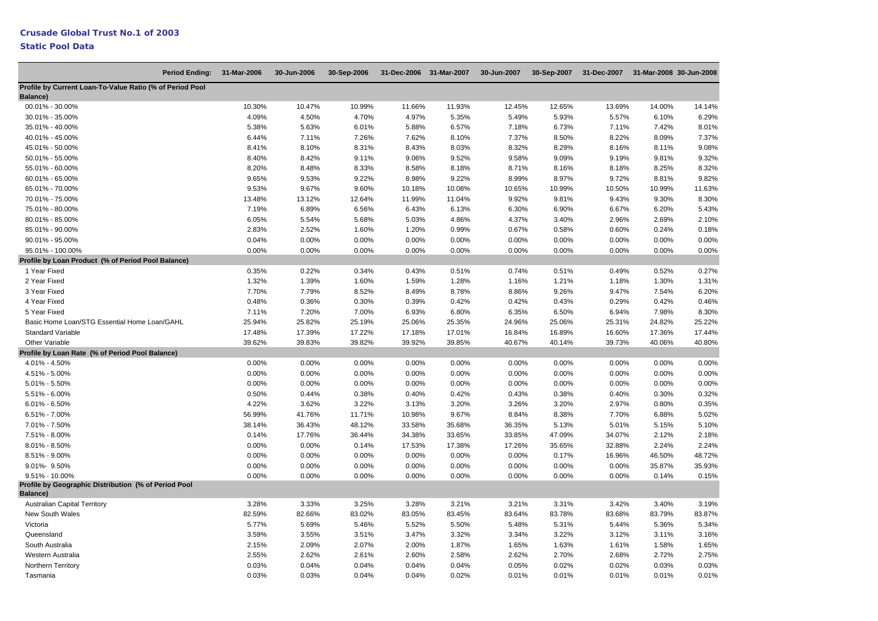| <b>Period Ending:</b>                                                   | 31-Mar-2006 | 30-Jun-2006 | 30-Sep-2006 | 31-Dec-2006 31-Mar-2007 |        | 30-Jun-2007 | 30-Sep-2007 | 31-Dec-2007 |          | 31-Mar-2008 30-Jun-2008 |
|-------------------------------------------------------------------------|-------------|-------------|-------------|-------------------------|--------|-------------|-------------|-------------|----------|-------------------------|
| Profile by Current Loan-To-Value Ratio (% of Period Pool<br>Balance)    |             |             |             |                         |        |             |             |             |          |                         |
| 00.01% - 30.00%                                                         | 10.30%      | 10.47%      | 10.99%      | 11.66%                  | 11.93% | 12.45%      | 12.65%      | 13.69%      | 14.00%   | 14.14%                  |
| 30.01% - 35.00%                                                         | 4.09%       | 4.50%       | 4.70%       | 4.97%                   | 5.35%  | 5.49%       | 5.93%       | 5.57%       | 6.10%    | 6.29%                   |
| 35.01% - 40.00%                                                         | 5.38%       | 5.63%       | 6.01%       | 5.88%                   | 6.57%  | 7.18%       | 6.73%       | 7.11%       | 7.42%    | 8.01%                   |
| 40.01% - 45.00%                                                         | 6.44%       | 7.11%       | 7.26%       | 7.62%                   | 8.10%  | 7.37%       | 8.50%       | 8.22%       | 8.09%    | 7.37%                   |
| 45.01% - 50.00%                                                         | 8.41%       | 8.10%       | 8.31%       | 8.43%                   | 8.03%  | 8.32%       | 8.29%       | 8.16%       | 8.11%    | 9.08%                   |
| 50.01% - 55.00%                                                         | 8.40%       | 8.42%       | 9.11%       | 9.06%                   | 9.52%  | 9.58%       | 9.09%       | 9.19%       | 9.81%    | 9.32%                   |
| 55.01% - 60.00%                                                         | 8.20%       | 8.48%       | 8.33%       | 8.58%                   | 8.18%  | 8.71%       | 8.16%       | 8.18%       | 8.25%    | 8.32%                   |
| 60.01% - 65.00%                                                         | 9.65%       | 9.53%       | 9.22%       | 8.98%                   | 9.22%  | 8.99%       | 8.97%       | 9.72%       | 8.81%    | 9.82%                   |
| 65.01% - 70.00%                                                         | 9.53%       | 9.67%       | 9.60%       | 10.18%                  | 10.08% | 10.65%      | 10.99%      | 10.50%      | 10.99%   | 11.63%                  |
| 70.01% - 75.00%                                                         | 13.48%      | 13.12%      | 12.64%      | 11.99%                  | 11.04% | 9.92%       | 9.81%       | 9.43%       | 9.30%    | 8.30%                   |
| 75.01% - 80.00%                                                         | 7.19%       | 6.89%       | 6.56%       | 6.43%                   | 6.13%  | 6.30%       | 6.90%       | 6.67%       | 6.20%    | 5.43%                   |
| 80.01% - 85.00%                                                         | 6.05%       | 5.54%       | 5.68%       | 5.03%                   | 4.86%  | 4.37%       | 3.40%       | 2.96%       | 2.69%    | 2.10%                   |
| 85.01% - 90.00%                                                         | 2.83%       | 2.52%       | 1.60%       | 1.20%                   | 0.99%  | 0.67%       | 0.58%       | 0.60%       | 0.24%    | 0.18%                   |
| 90.01% - 95.00%                                                         | 0.04%       | 0.00%       | 0.00%       | 0.00%                   | 0.00%  | 0.00%       | 0.00%       | 0.00%       | 0.00%    | 0.00%                   |
| 95.01% - 100.00%                                                        | 0.00%       | 0.00%       | 0.00%       | $0.00\%$                | 0.00%  | 0.00%       | 0.00%       | 0.00%       | $0.00\%$ | 0.00%                   |
| Profile by Loan Product (% of Period Pool Balance)                      |             |             |             |                         |        |             |             |             |          |                         |
| 1 Year Fixed                                                            | 0.35%       | 0.22%       | 0.34%       | 0.43%                   | 0.51%  | 0.74%       | 0.51%       | 0.49%       | 0.52%    | 0.27%                   |
| 2 Year Fixed                                                            | 1.32%       | 1.39%       | 1.60%       | 1.59%                   | 1.28%  | 1.16%       | 1.21%       | 1.18%       | 1.30%    | 1.31%                   |
| 3 Year Fixed                                                            | 7.70%       | 7.79%       | 8.52%       | 8.49%                   | 8.78%  | 8.86%       | 9.26%       | 9.47%       | 7.54%    | 6.20%                   |
| 4 Year Fixed                                                            | 0.48%       | 0.36%       | 0.30%       | 0.39%                   | 0.42%  | 0.42%       | 0.43%       | 0.29%       | 0.42%    | 0.46%                   |
| 5 Year Fixed                                                            | 7.11%       | 7.20%       | 7.00%       | 6.93%                   | 6.80%  | 6.35%       | 6.50%       | 6.94%       | 7.98%    | 8.30%                   |
| Basic Home Loan/STG Essential Home Loan/GAHL                            | 25.94%      | 25.82%      | 25.19%      | 25.06%                  | 25.35% | 24.96%      | 25.06%      | 25.31%      | 24.82%   | 25.22%                  |
| <b>Standard Variable</b>                                                | 17.48%      | 17.39%      | 17.22%      | 17.18%                  | 17.01% | 16.84%      | 16.89%      | 16.60%      | 17.36%   | 17.44%                  |
| Other Variable                                                          | 39.62%      | 39.83%      | 39.82%      | 39.92%                  | 39.85% | 40.67%      | 40.14%      | 39.73%      | 40.06%   | 40.80%                  |
| Profile by Loan Rate (% of Period Pool Balance)                         |             |             |             |                         |        |             |             |             |          |                         |
| 4.01% - 4.50%                                                           | 0.00%       | 0.00%       | 0.00%       | 0.00%                   | 0.00%  | 0.00%       | 0.00%       | 0.00%       | 0.00%    | 0.00%                   |
| 4.51% - 5.00%                                                           | 0.00%       | 0.00%       | 0.00%       | 0.00%                   | 0.00%  | 0.00%       | 0.00%       | 0.00%       | 0.00%    | 0.00%                   |
| 5.01% - 5.50%                                                           | 0.00%       | 0.00%       | 0.00%       | 0.00%                   | 0.00%  | 0.00%       | 0.00%       | 0.00%       | 0.00%    | 0.00%                   |
| 5.51% - 6.00%                                                           | 0.50%       | 0.44%       | 0.38%       | 0.40%                   | 0.42%  | 0.43%       | 0.38%       | 0.40%       | 0.30%    | 0.32%                   |
| $6.01\% - 6.50\%$                                                       | 4.22%       | 3.62%       | 3.22%       | 3.13%                   | 3.20%  | 3.26%       | 3.20%       | 2.97%       | 0.80%    | 0.35%                   |
| $6.51\% - 7.00\%$                                                       | 56.99%      | 41.76%      | 11.71%      | 10.98%                  | 9.67%  | 8.84%       | 8.38%       | 7.70%       | 6.88%    | 5.02%                   |
| 7.01% - 7.50%                                                           | 38.14%      | 36.43%      | 48.12%      | 33.58%                  | 35.68% | 36.35%      | 5.13%       | 5.01%       | 5.15%    | 5.10%                   |
| 7.51% - 8.00%                                                           | 0.14%       | 17.76%      | 36.44%      | 34.38%                  | 33.65% | 33.85%      | 47.09%      | 34.07%      | 2.12%    | 2.18%                   |
| 8.01% - 8.50%                                                           | 0.00%       | 0.00%       | 0.14%       | 17.53%                  | 17.38% | 17.26%      | 35.65%      | 32.88%      | 2.24%    | 2.24%                   |
| 8.51% - 9.00%                                                           | 0.00%       | 0.00%       | 0.00%       | 0.00%                   | 0.00%  | 0.00%       | 0.17%       | 16.96%      | 46.50%   | 48.72%                  |
| 9.01%- 9.50%                                                            | 0.00%       | 0.00%       | 0.00%       | 0.00%                   | 0.00%  | 0.00%       | 0.00%       | 0.00%       | 35.87%   | 35.93%                  |
| $9.51\% - 10.00\%$                                                      | 0.00%       | 0.00%       | 0.00%       | 0.00%                   | 0.00%  | 0.00%       | 0.00%       | 0.00%       | 0.14%    | 0.15%                   |
| Profile by Geographic Distribution (% of Period Pool<br><b>Balance)</b> |             |             |             |                         |        |             |             |             |          |                         |
| <b>Australian Capital Territory</b>                                     | 3.28%       | 3.33%       | 3.25%       | 3.28%                   | 3.21%  | 3.21%       | 3.31%       | 3.42%       | 3.40%    | 3.19%                   |
| New South Wales                                                         | 82.59%      | 82.66%      | 83.02%      | 83.05%                  | 83.45% | 83.64%      | 83.78%      | 83.68%      | 83.79%   | 83.87%                  |
| Victoria                                                                | 5.77%       | 5.69%       |             | 5.52%                   | 5.50%  | 5.48%       | 5.31%       | 5.44%       | 5.36%    | 5.34%                   |
|                                                                         | 3.59%       | 3.55%       | 5.46%       | 3.47%                   |        | 3.34%       |             | 3.12%       | 3.11%    | 3.16%                   |
| Queensland                                                              |             |             | 3.51%       |                         | 3.32%  |             | 3.22%       |             |          | 1.65%                   |
| South Australia                                                         | 2.15%       | 2.09%       | 2.07%       | 2.00%                   | 1.87%  | 1.65%       | 1.63%       | 1.61%       | 1.58%    |                         |
| Western Australia                                                       | 2.55%       | 2.62%       | 2.61%       | 2.60%                   | 2.58%  | 2.62%       | 2.70%       | 2.68%       | 2.72%    | 2.75%                   |
| Northern Territory                                                      | 0.03%       | 0.04%       | 0.04%       | 0.04%                   | 0.04%  | 0.05%       | 0.02%       | 0.02%       | 0.03%    | 0.03%                   |
| Tasmania                                                                | 0.03%       | 0.03%       | 0.04%       | 0.04%                   | 0.02%  | 0.01%       | 0.01%       | 0.01%       | 0.01%    | 0.01%                   |